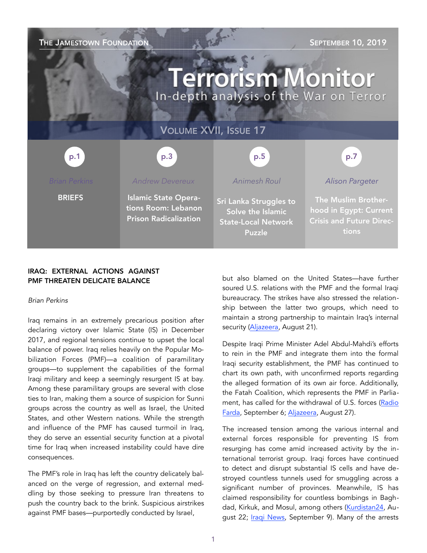

# IRAQ: EXTERNAL ACTIONS AGAINST PMF THREATEN DELICATE BALANCE

#### *Brian Perkins*

Iraq remains in an extremely precarious position after declaring victory over Islamic State (IS) in December 2017, and regional tensions continue to upset the local balance of power. Iraq relies heavily on the Popular Mobilization Forces (PMF)—a coalition of paramilitary groups—to supplement the capabilities of the formal Iraqi military and keep a seemingly resurgent IS at bay. Among these paramilitary groups are several with close ties to Iran, making them a source of suspicion for Sunni groups across the country as well as Israel, the United States, and other Western nations. While the strength and influence of the PMF has caused turmoil in Iraq, they do serve an essential security function at a pivotal time for Iraq when increased instability could have dire consequences.

The PMF's role in Iraq has left the country delicately balanced on the verge of regression, and external meddling by those seeking to pressure Iran threatens to push the country back to the brink. Suspicious airstrikes against PMF bases—purportedly conducted by Israel,

but also blamed on the United States—have further soured U.S. relations with the PMF and the formal Iraqi bureaucracy. The strikes have also stressed the relationship between the latter two groups, which need to maintain a strong partnership to maintain Iraq's internal security ([Aljazeera](https://www.aljazeera.com/news/2019/08/iraqi-militias-blame-israel-attacks-bases-190821190617283.html), August 21).

Despite Iraqi Prime Minister Adel Abdul-Mahdi's efforts to rein in the PMF and integrate them into the formal Iraqi security establishment, the PMF has continued to chart its own path, with unconfirmed reports regarding the alleged formation of its own air force. Additionally, the Fatah Coalition, which represents the PMF in Parliament, has called for the withdrawal of U.S. forces [\(Radio](https://en.radiofarda.com/a/pro-iran-militia-in-iraq-announces-formation-of-air-force-pmf/30148745.html)  [Farda](https://en.radiofarda.com/a/pro-iran-militia-in-iraq-announces-formation-of-air-force-pmf/30148745.html), September 6; [Aljazeera](https://www.aljazeera.com/news/2019/08/iraqi-bloc-calls-troops-withdrawal-israeli-air-raids-190826232617352.html), August 27).

The increased tension among the various internal and external forces responsible for preventing IS from resurging has come amid increased activity by the international terrorist group. Iraqi forces have continued to detect and disrupt substantial IS cells and have destroyed countless tunnels used for smuggling across a significant number of provinces. Meanwhile, IS has claimed responsibility for countless bombings in Bagh-dad, Kirkuk, and Mosul, among others [\(Kurdistan24,](https://www.kurdistan24.net/en/news/438de029-0896-4db8-bd42-a197a0ff0101) August 22; [Iraqi News,](https://www.iraqinews.com/ir) September 9). Many of the arrests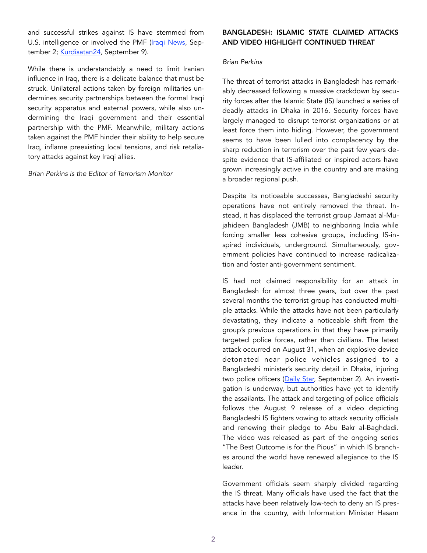and successful strikes against IS have stemmed from U.S. intelligence or involved the PMF [\(Iraqi News](https://www.iraqinews), September 2; [Kurdisatan24](https://www.kurdistan24.net/en/news/a7a54158-2f4e-46ba-bfb6-c3f834c51357), September 9).

While there is understandably a need to limit Iranian influence in Iraq, there is a delicate balance that must be struck. Unilateral actions taken by foreign militaries undermines security partnerships between the formal Iraqi security apparatus and external powers, while also undermining the Iraqi government and their essential partnership with the PMF. Meanwhile, military actions taken against the PMF hinder their ability to help secure Iraq, inflame preexisting local tensions, and risk retaliatory attacks against key Iraqi allies.

*Brian Perkins is the Editor of Terrorism Monitor* 

# BANGLADESH: ISLAMIC STATE CLAIMED ATTACKS AND VIDEO HIGHLIGHT CONTINUED THREAT

### *Brian Perkins*

The threat of terrorist attacks in Bangladesh has remarkably decreased following a massive crackdown by security forces after the Islamic State (IS) launched a series of deadly attacks in Dhaka in 2016. Security forces have largely managed to disrupt terrorist organizations or at least force them into hiding. However, the government seems to have been lulled into complacency by the sharp reduction in terrorism over the past few years despite evidence that IS-affiliated or inspired actors have grown increasingly active in the country and are making a broader regional push.

Despite its noticeable successes, Bangladeshi security operations have not entirely removed the threat. Instead, it has displaced the terrorist group Jamaat al-Mujahideen Bangladesh (JMB) to neighboring India while forcing smaller less cohesive groups, including IS-inspired individuals, underground. Simultaneously, government policies have continued to increase radicalization and foster anti-government sentiment.

IS had not claimed responsibility for an attack in Bangladesh for almost three years, but over the past several months the terrorist group has conducted multiple attacks. While the attacks have not been particularly devastating, they indicate a noticeable shift from the group's previous operations in that they have primarily targeted police forces, rather than civilians. The latest attack occurred on August 31, when an explosive device detonated near police vehicles assigned to a Bangladeshi minister's security detail in Dhaka, injuring two police officers ([Daily Star,](https://www.thedailystar.net/frontpage/islamic-state-is-militant-attack-in-dhaka-likely-test-case-big-attacks-1794130) September 2). An investigation is underway, but authorities have yet to identify the assailants. The attack and targeting of police officials follows the August 9 release of a video depicting Bangladeshi IS fighters vowing to attack security officials and renewing their pledge to Abu Bakr al-Baghdadi. The video was released as part of the ongoing series "The Best Outcome is for the Pious" in which IS branches around the world have renewed allegiance to the IS leader.

Government officials seem sharply divided regarding the IS threat. Many officials have used the fact that the attacks have been relatively low-tech to deny an IS presence in the country, with Information Minister Hasam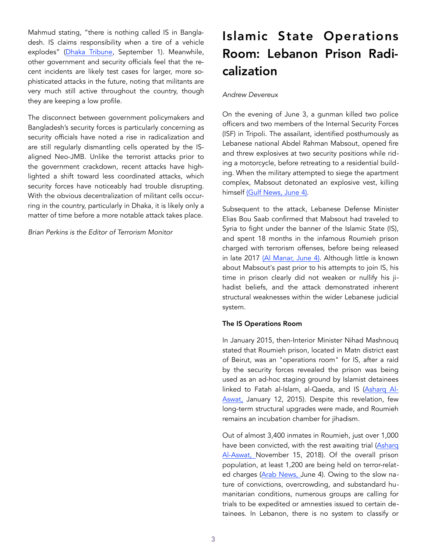Mahmud stating, "there is nothing called IS in Bangladesh. IS claims responsibility when a tire of a vehicle explodes" [\(Dhaka Tribune](https://www.dhakatribune.com/bangladesh/dhaka/2019/09/0), September 1). Meanwhile, other government and security officials feel that the recent incidents are likely test cases for larger, more sophisticated attacks in the future, noting that militants are very much still active throughout the country, though they are keeping a low profile.

The disconnect between government policymakers and Bangladesh's security forces is particularly concerning as security officials have noted a rise in radicalization and are still regularly dismantling cells operated by the ISaligned Neo-JMB. Unlike the terrorist attacks prior to the government crackdown, recent attacks have highlighted a shift toward less coordinated attacks, which security forces have noticeably had trouble disrupting. With the obvious decentralization of militant cells occurring in the country, particularly in Dhaka, it is likely only a matter of time before a more notable attack takes place.

*Brian Perkins is the Editor of Terrorism Monitor* 

# Islamic State Operations Room: Lebanon Prison Radicalization

# *Andrew Devereux*

On the evening of June 3, a gunman killed two police officers and two members of the Internal Security Forces (ISF) in Tripoli. The assailant, identified posthumously as Lebanese national Abdel Rahman Mabsout, opened fire and threw explosives at two security positions while riding a motorcycle, before retreating to a residential building. When the military attempted to siege the apartment complex, Mabsout detonated an explosive vest, killing himself [\(Gulf News, June 4\).](https://gulfnews.com/world/mena/deadly-shooting-in-tripoli-lebanon-culprit-a-lone-wolf-1.1559657497140)

Subsequent to the attack, Lebanese Defense Minister Elias Bou Saab confirmed that Mabsout had traveled to Syria to fight under the banner of the Islamic State (IS), and spent 18 months in the infamous Roumieh prison charged with terrorism offenses, before being released in late 2017 [\(Al Manar, June 4\).](http://english.almanar.com.lb/751753) Although little is known about Mabsout's past prior to his attempts to join IS, his time in prison clearly did not weaken or nullify his jihadist beliefs, and the attack demonstrated inherent structural weaknesses within the wider Lebanese judicial system.

## The IS Operations Room

In January 2015, then-Interior Minister Nihad Mashnouq stated that Roumieh prison, located in Matn district east of Beirut, was an "operations room" for IS, after a raid by the security forces revealed the prison was being used as an ad-hoc staging ground by Islamist detainees linked to Fatah al-Islam, al-Qaeda, and IS [\(Asharq Al-](https://eng-archive.aawsat.com/thairabbas/news-middle-east/isis-behind-tripoli-attacks-lebanon-interior-minister)[Aswat,](https://eng-archive.aawsat.com/thairabbas/news-middle-east/isis-behind-tripoli-attacks-lebanon-interior-minister) January 12, 2015). Despite this revelation, few long-term structural upgrades were made, and Roumieh remains an incubation chamber for jihadism.

Out of almost 3,400 inmates in Roumieh, just over 1,000 have been convicted, with the rest awaiting trial (Asharq [Al-Aswat,](https://aawsat.com/en) November 15, 2018). Of the overall prison population, at least 1,200 are being held on terror-related charges ([Arab News,](https://www.arabnews) June 4). Owing to the slow nature of convictions, overcrowding, and substandard humanitarian conditions, numerous groups are calling for trials to be expedited or amnesties issued to certain detainees. In Lebanon, there is no system to classify or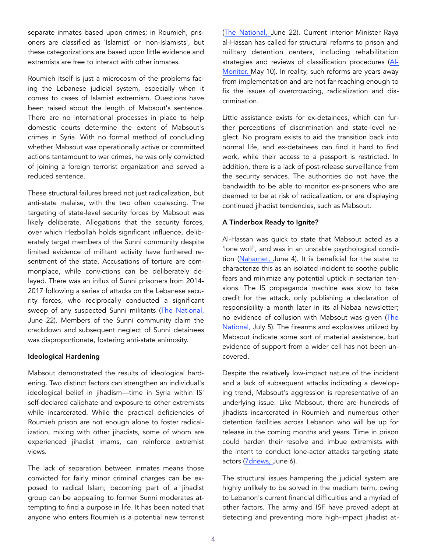separate inmates based upon crimes; in Roumieh, prisoners are classified as 'Islamist' or 'non-Islamists', but these categorizations are based upon little evidence and extremists are free to interact with other inmates.

Roumieh itself is just a microcosm of the problems facing the Lebanese judicial system, especially when it comes to cases of Islamist extremism. Questions have been raised about the length of Mabsout's sentence. There are no international processes in place to help domestic courts determine the extent of Mabsout's crimes in Syria. With no formal method of concluding whether Mabsout was operationally active or committed actions tantamount to war crimes, he was only convicted of joining a foreign terrorist organization and served a reduced sentence.

These structural failures breed not just radicalization, but anti-state malaise, with the two often coalescing. The targeting of state-level security forces by Mabsout was likely deliberate. Allegations that the security forces, over which Hezbollah holds significant influence, deliberately target members of the Sunni community despite limited evidence of militant activity have furthered resentment of the state. Accusations of torture are commonplace, while convictions can be deliberately delayed. There was an influx of Sunni prisoners from 2014- 2017 following a series of attacks on the Lebanese security forces, who reciprocally conducted a significant sweep of any suspected Sunni militants (The National, June 22). Members of the Sunni community claim the crackdown and subsequent neglect of Sunni detainees was disproportionate, fostering anti-state animosity.

#### Ideological Hardening

Mabsout demonstrated the results of ideological hardening. Two distinct factors can strengthen an individual's ideological belief in jihadism—time in Syria within IS' self-declared caliphate and exposure to other extremists while incarcerated. While the practical deficiencies of Roumieh prison are not enough alone to foster radicalization, mixing with other jihadists, some of whom are experienced jihadist imams, can reinforce extremist views.

The lack of separation between inmates means those convicted for fairly minor criminal charges can be exposed to radical Islam; becoming part of a jihadist group can be appealing to former Sunni moderates attempting to find a purpose in life. It has been noted that anyone who enters Roumieh is a potential new terrorist

([The National,](https://www.thenational.ae/world/mena/lebanon-s-tripoli-residents-say-negligent-state-breeds-extremism-1.877427) June 22). Current Interior Minister Raya al-Hassan has called for structural reforms to prison and military detention centers, including rehabilitation strategies and reviews of classification procedures [\(Al-](https://www.al-monitor.com/pulse/originals/2019/05/lebanon-interior-minister-prison-reforms-penal-syste)[Monitor, M](https://www.al-monitor.com/pulse/originals/2019/05/lebanon-interior-minister-prison-reforms-penal-syste)ay 10). In reality, such reforms are years away from implementation and are not far-reaching enough to fix the issues of overcrowding, radicalization and discrimination.

Little assistance exists for ex-detainees, which can further perceptions of discrimination and state-level neglect. No program exists to aid the transition back into normal life, and ex-detainees can find it hard to find work, while their access to a passport is restricted. In addition, there is a lack of post-release surveillance from the security services. The authorities do not have the bandwidth to be able to monitor ex-prisoners who are deemed to be at risk of radicalization, or are displaying continued jihadist tendencies, such as Mabsout.

## A Tinderbox Ready to Ignite?

Al-Hassan was quick to state that Mabsout acted as a 'lone wolf', and was in an unstable psychological condition [\(Naharnet,](http://www.naharnet.com/stories/en/261094-hassan-stresses-security-forces-readiness-othman-says-tripoli-attacker-was-tro) June 4). It is beneficial for the state to characterize this as an isolated incident to soothe public fears and minimize any potential uptick in sectarian tensions. The IS propaganda machine was slow to take credit for the attack, only publishing a declaration of responsibility a month later in its al-Nabaa newsletter; no evidence of collusion with Mabsout was given (The [National, J](https://www.thenational.ae/world/mena/isis-claims-responsibility-for-june-attack-in-lebanon-s-tripoli-1.88302)uly 5). The firearms and explosives utilized by Mabsout indicate some sort of material assistance, but evidence of support from a wider cell has not been uncovered.

Despite the relatively low-impact nature of the incident and a lack of subsequent attacks indicating a developing trend, Mabsout's aggression is representative of an underlying issue. Like Mabsout, there are hundreds of jihadists incarcerated in Roumieh and numerous other detention facilities across Lebanon who will be up for release in the coming months and years. Time in prison could harden their resolve and imbue extremists with the intent to conduct lone-actor attacks targeting state actors ([7dnews,](https://7dnews.com/news/extremists-influx-from-syria-weighs-down-on-) June 6).

The structural issues hampering the judicial system are highly unlikely to be solved in the medium term, owing to Lebanon's current financial difficulties and a myriad of other factors. The army and ISF have proved adept at detecting and preventing more high-impact jihadist at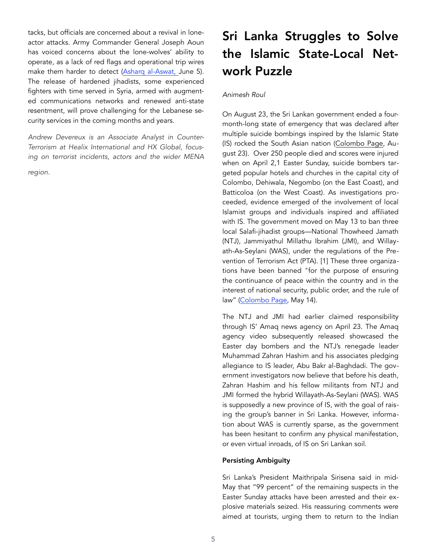tacks, but officials are concerned about a revival in loneactor attacks. Army Commander General Joseph Aoun has voiced concerns about the lone-wolves' ability to operate, as a lack of red flags and operational trip wires make them harder to detect ([Asharq al-Aswat,](https://aawsat.com/english/home/article/1754341/tripoli-attack-revives-concerns-lebanon-over-threat-%E2%80%98lone-wolves%E2%80%99) June 5). The release of hardened jihadists, some experienced fighters with time served in Syria, armed with augmented communications networks and renewed anti-state resentment, will prove challenging for the Lebanese security services in the coming months and years.

*Andrew Devereux is an Associate Analyst in Counter-Terrorism at Healix International and HX Global, focusing on terrorist incidents, actors and the wider MENA* 

*region.*

# Sri Lanka Struggles to Solve the Islamic State-Local Network Puzzle

# *Animesh Roul*

On August 23, the Sri Lankan government ended a fourmonth-long state of emergency that was declared after multiple suicide bombings inspired by the Islamic State (IS) rocked the South Asian nation [\(Colombo Page,](http://www.colombopage.com/archive_19B/Aug23_1566573169CH.php) August 23). Over 250 people died and scores were injured when on April 2,1 Easter Sunday, suicide bombers targeted popular hotels and churches in the capital city of Colombo, Dehiwala, Negombo (on the East Coast), and Batticoloa (on the West Coast). As investigations proceeded, evidence emerged of the involvement of local Islamist groups and individuals inspired and affiliated with IS. The government moved on May 13 to ban three local Salafi-jihadist groups—National Thowheed Jamath (NTJ), Jammiyathul Millathu Ibrahim (JMI), and Willayath-As-Seylani (WAS), under the regulations of the Prevention of Terrorism Act (PTA). [1] These three organizations have been banned "for the purpose of ensuring the continuance of peace within the country and in the interest of national security, public order, and the rule of law" ([Colombo Page,](http://www.colombopage.com/archive_19A/May14_1557812826CH.ph) May 14).

The NTJ and JMI had earlier claimed responsibility through IS' Amaq news agency on April 23. The Amaq agency video subsequently released showcased the Easter day bombers and the NTJ's renegade leader Muhammad Zahran Hashim and his associates pledging allegiance to IS leader, Abu Bakr al-Baghdadi. The government investigators now believe that before his death, Zahran Hashim and his fellow militants from NTJ and JMI formed the hybrid Willayath-As-Seylani (WAS). WAS is supposedly a new province of IS, with the goal of raising the group's banner in Sri Lanka. However, information about WAS is currently sparse, as the government has been hesitant to confirm any physical manifestation, or even virtual inroads, of IS on Sri Lankan soil.

## Persisting Ambiguity

Sri Lanka's President Maithripala Sirisena said in mid-May that "99 percent" of the remaining suspects in the Easter Sunday attacks have been arrested and their explosive materials seized. His reassuring comments were aimed at tourists, urging them to return to the Indian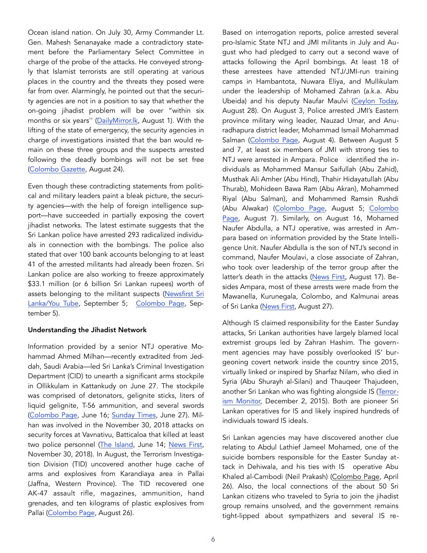Ocean island nation. On July 30, Army Commander Lt. Gen. Mahesh Senanayake made a contradictory statement before the Parliamentary Select Committee in charge of the probe of the attacks. He conveyed strongly that Islamist terrorists are still operating at various places in the country and the threats they posed were far from over. Alarmingly, he pointed out that the security agencies are not in a position to say that whether the on-going jihadist problem will be over "within six months or six years'' [\(DailyMirror.lk,](http://www.dailymirror.lk/print/front_page/Easter-Sunday-attack--Got-to-know-about-intelligence-warning-on-social-media------Army-chief-/238-172134) August 1). With the lifting of the state of emergency, the security agencies in charge of investigations insisted that the ban would remain on these three groups and the suspects arrested following the deadly bombings will not be set free ([Colombo Gazette](https://colombogazette.com/2019/08/24/po), August 24).

Even though these contradicting statements from political and military leaders paint a bleak picture, the security agencies—with the help of foreign intelligence support—have succeeded in partially exposing the covert jihadist networks. The latest estimate suggests that the Sri Lankan police have arrested 293 radicalized individuals in connection with the bombings. The police also stated that over 100 bank accounts belonging to at least 41 of the arrested militants had already been frozen. Sri Lankan police are also working to freeze approximately \$33.1 million (or 6 billion Sri Lankan rupees) worth of assets belonging to the militant suspects [\(Newsfirst Sri](https://www)  [Lanka/You Tube,](https://www) September 5; [Colombo Page](http://www.colombopage.com/archive_19B/Sep05_1567708041CH.php), September 5).

#### Understanding the Jihadist Network

Information provided by a senior NTJ operative Mohammad Ahmed Milhan—recently extradited from Jeddah, Saudi Arabia—led Sri Lanka's Criminal Investigation Department (CID) to unearth a significant arms stockpile in Ollikkulam in Kattankudy on June 27. The stockpile was comprised of detonators, gelignite sticks, liters of liquid gelignite, T-56 ammunition, and several swords ([Colombo Page,](http://www.colombopage.com/archive_19A/Jun16_1560659253CH.php) June 16; [Sunday Times](http://www.sundaytimes.lk/article/1093164/explosives-live-ammo-recovered-upon-questioning-of-suspect-linked-to-easter-sunday-attacks), June 27). Milhan was involved in the November 30, 2018 attacks on security forces at Vavnativu, Batticaloa that killed at least two police personnel [\(The Island,](http://www.island.lk/index.php?page_cat=article-details&page=article-details&code_title=205854) June 14; [News First,](https://www.newsfirst.lk/2018/11/30/02-police-officers-) November 30, 2018). In August, the Terrorism Investigation Division (TID) uncovered another huge cache of arms and explosives from Karandiaya area in Pallai (Jaffna, Western Province). The TID recovered one AK-47 assault rifle, magazines, ammunition, hand grenades, and ten kilograms of plastic explosives from Pallai ([Colombo Page,](http://www.colombopage.com/archive_19B/Aug26_1566843436CH.php) August 26).

Based on interrogation reports, police arrested several pro-Islamic State NTJ and JMI militants in July and August who had pledged to carry out a second wave of attacks following the April bombings. At least 18 of these arrestees have attended NTJ/JMI-run training camps in Hambantota, Nuwara Eliya, and Mullikulam under the leadership of Mohamed Zahran (a.k.a. Abu Ubeida) and his deputy Naufar Maulvi ([Ceylon Today,](https://ceylontoday.lk/news-more/6820) August 28). On August 3, Police arrested JMI's Eastern province military wing leader, Nauzad Umar, and Anuradhapura district leader, Mohammad Ismail Mohammad Salman ([Colombo Page,](http://www.colombopage.com/archive_19B/Aug04_1564927902CH.php) August 4). Between August 5 and 7, at least six members of JMI with strong ties to NTJ were arrested in Ampara. Police identified the individuals as Mohammed Mansur Saifullah (Abu Zahid), Musthak Ali Amher (Abu Hind), Thahir Hidayatullah (Abu Thurab), Mohideen Bawa Ram (Abu Akran), Mohammed Riyal (Abu Salman), and Mohammed Ramsin Rushdi (Abu Alwakar) ([Colombo Page,](http://www.colombopage.com/archive_19B/Aug05_1565015750CH.php) August 5; [Colombo](http://www.colombopage.com/archive_19B/Aug07_1565198558CH.php)  [Page,](http://www.colombopage.com/archive_19B/Aug07_1565198558CH.php) August 7). Similarly, on August 16, Mohamed Naufer Abdulla, a NTJ operative, was arrested in Ampara based on information provided by the State Intelligence Unit. Naufer Abdulla is the son of NTJ's second in command, Naufer Moulavi, a close associate of Zahran, who took over leadership of the terror group after the latter's death in the attacks ([News First,](https://www.newsfirst.lk/2019/08/17/son-of-a-chief-ntj-leader-arrested-interrogations-to-commence/) August 17). Besides Ampara, most of these arrests were made from the Mawanella, Kurunegala, Colombo, and Kalmunai areas of Sri Lanka ([News First,](https://www.newsfirst.lk/2019/08/27/ntj-member-rashid-akbar-had-received-weapons-training-in-nuwara-eliya-police/) August 27).

Although IS claimed responsibility for the Easter Sunday attacks, Sri Lankan authorities have largely blamed local extremist groups led by Zahran Hashim. The government agencies may have possibly overlooked IS' burgeoning covert network inside the country since 2015, virtually linked or inspired by Sharfaz Nilam, who died in Syria (Abu Shurayh al-Silani) and Thauqeer Thajudeen, another Sri Lankan who was fighting alongside IS ([Terror](https://jamestown.org/program/islamic-states-sri-lankan-outreach/)[ism Monitor,](https://jamestown.org/program/islamic-states-sri-lankan-outreach/) December 2, 2015). Both are pioneer Sri Lankan operatives for IS and likely inspired hundreds of individuals toward IS ideals.

Sri Lankan agencies may have discovered another clue relating to Abdul Lathief Jameel Mohamed, one of the suicide bombers responsible for the Easter Sunday attack in Dehiwala, and his ties with IS operative Abu Khaled al-Cambodi (Neil Prakash) ([Colombo Page,](http://www.colombopage.com/NEW_LPC/NewsFiles19/Apr26_1556246544.php) April 26). Also, the local connections of the about 50 Sri Lankan citizens who traveled to Syria to join the jihadist group remains unsolved, and the government remains tight-lipped about sympathizers and several IS re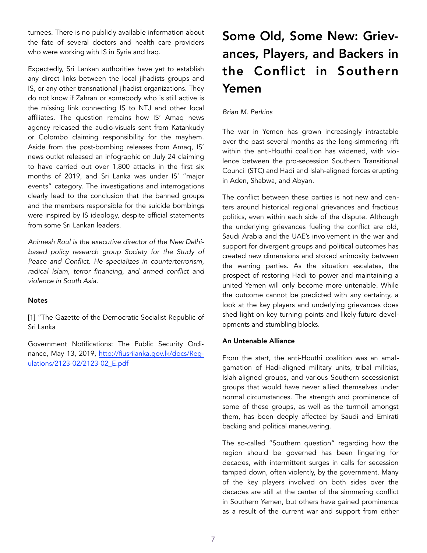turnees. There is no publicly available information about the fate of several doctors and health care providers who were working with IS in Syria and Iraq.

Expectedly, Sri Lankan authorities have yet to establish any direct links between the local jihadists groups and IS, or any other transnational jihadist organizations. They do not know if Zahran or somebody who is still active is the missing link connecting IS to NTJ and other local affiliates. The question remains how IS' Amaq news agency released the audio-visuals sent from Katankudy or Colombo claiming responsibility for the mayhem. Aside from the post-bombing releases from Amaq, IS' news outlet released an infographic on July 24 claiming to have carried out over 1,800 attacks in the first six months of 2019, and Sri Lanka was under IS' "major events" category. The investigations and interrogations clearly lead to the conclusion that the banned groups and the members responsible for the suicide bombings were inspired by IS ideology, despite official statements from some Sri Lankan leaders.

*Animesh Roul is the executive director of the New Delhibased policy research group [Society for the Study of](http://www.sspconline.org/)  [Peace and Conflict](http://www.sspconline.org/). He specializes in counterterrorism, radical Islam, terror financing, and armed conflict and violence in South Asia.*

### **Notes**

[1] "The Gazette of the Democratic Socialist Republic of Sri Lanka

Government Notifications: The Public Security Ordi[nance, May 13, 2019, http://fiusrilanka.gov.lk/docs/Reg](http://fiusrilanka.gov.lk/docs/Regulations/2123-02/2123-02_E.pdf)[ulations/2123-02/2123-02\\_E.pdf](http://fiusrilanka.gov.lk/docs/Regulations/2123-02/2123-02_E.pdf)

# Some Old, Some New: Grievances, Players, and Backers in the Conflict in Southern Yemen

## *Brian M. Perkins*

The war in Yemen has grown increasingly intractable over the past several months as the long-simmering rift within the anti-Houthi coalition has widened, with violence between the pro-secession Southern Transitional Council (STC) and Hadi and Islah-aligned forces erupting in Aden, Shabwa, and Abyan.

The conflict between these parties is not new and centers around historical regional grievances and fractious politics, even within each side of the dispute. Although the underlying grievances fueling the conflict are old, Saudi Arabia and the UAE's involvement in the war and support for divergent groups and political outcomes has created new dimensions and stoked animosity between the warring parties. As the situation escalates, the prospect of restoring Hadi to power and maintaining a united Yemen will only become more untenable. While the outcome cannot be predicted with any certainty, a look at the key players and underlying grievances does shed light on key turning points and likely future developments and stumbling blocks.

#### An Untenable Alliance

From the start, the anti-Houthi coalition was an amalgamation of Hadi-aligned military units, tribal militias, Islah-aligned groups, and various Southern secessionist groups that would have never allied themselves under normal circumstances. The strength and prominence of some of these groups, as well as the turmoil amongst them, has been deeply affected by Saudi and Emirati backing and political maneuvering.

The so-called "Southern question" regarding how the region should be governed has been lingering for decades, with intermittent surges in calls for secession tamped down, often violently, by the government. Many of the key players involved on both sides over the decades are still at the center of the simmering conflict in Southern Yemen, but others have gained prominence as a result of the current war and support from either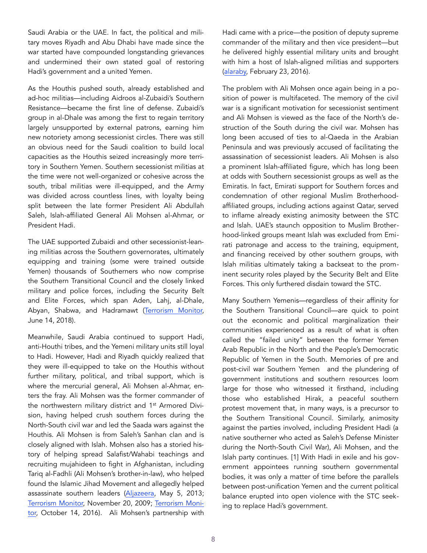Saudi Arabia or the UAE. In fact, the political and military moves Riyadh and Abu Dhabi have made since the war started have compounded longstanding grievances and undermined their own stated goal of restoring Hadi's government and a united Yemen.

As the Houthis pushed south, already established and ad-hoc militias—including Aidroos al-Zubaidi's Southern Resistance—became the first line of defense. Zubaidi's group in al-Dhale was among the first to regain territory largely unsupported by external patrons, earning him new notoriety among secessionist circles. There was still an obvious need for the Saudi coalition to build local capacities as the Houthis seized increasingly more territory in Southern Yemen. Southern secessionist militias at the time were not well-organized or cohesive across the south, tribal militias were ill-equipped, and the Army was divided across countless lines, with loyalty being split between the late former President Ali Abdullah Saleh, Islah-affiliated General Ali Mohsen al-Ahmar, or President Hadi.

The UAE supported Zubaidi and other secessionist-leaning militias across the Southern governorates, ultimately equipping and training (some were trained outside Yemen) thousands of Southerners who now comprise the Southern Transitional Council and the closely linked military and police forces, including the Security Belt and Elite Forces, which span Aden, Lahj, al-Dhale, Abyan, Shabwa, and Hadramawt [\(Terrorism Monitor,](https://jamestown.org/program/security-belt-the-uaes-tribal-counterterrorism-strategy-in-yemen/) June 14, 2018).

Meanwhile, Saudi Arabia continued to support Hadi, anti-Houthi tribes, and the Yemeni military units still loyal to Hadi. However, Hadi and Riyadh quickly realized that they were ill-equipped to take on the Houthis without further military, political, and tribal support, which is where the mercurial general, Ali Mohsen al-Ahmar, enters the fray. Ali Mohsen was the former commander of the northwestern military district and 1<sup>st</sup> Armored Division, having helped crush southern forces during the North-South civil war and led the Saada wars against the Houthis. Ali Mohsen is from Saleh's Sanhan clan and is closely aligned with Islah. Mohsen also has a storied history of helping spread Salafist/Wahabi teachings and recruiting mujahideen to fight in Afghanistan, including Tariq al-Fadhli (Ali Mohsen's brother-in-law), who helped found the Islamic Jihad Movement and allegedly helped assassinate southern leaders [\(Aljazeera](https://www.aljazeera.com/indepth/opinion/2013/05/20135273222551560.html), May 5, 2013; [Terrorism Monitor,](https://jamestown.org/program/the-jihadis-and-the-cause-of-south-yemen-a-profile-of-tariq-al-fadhli/) November 20, 2009; [Terrorism Moni](https://jamestown.org/program/aqap-southern-yemen-learning-adap)[tor,](https://jamestown.org/program/aqap-southern-yemen-learning-adap) October 14, 2016). Ali Mohsen's partnership with

Hadi came with a price—the position of deputy supreme commander of the military and then vice president—but he delivered highly essential military units and brought with him a host of Islah-aligned militias and supporters ([alaraby,](https://www.alaraby.co.uk/english/news/2016/2/23/yemen-president-appoints-ali-mohsin-as-deputy-supreme-commander) February 23, 2016).

The problem with Ali Mohsen once again being in a position of power is multifaceted. The memory of the civil war is a significant motivation for secessionist sentiment and Ali Mohsen is viewed as the face of the North's destruction of the South during the civil war. Mohsen has long been accused of ties to al-Qaeda in the Arabian Peninsula and was previously accused of facilitating the assassination of secessionist leaders. Ali Mohsen is also a prominent Islah-affiliated figure, which has long been at odds with Southern secessionist groups as well as the Emiratis. In fact, Emirati support for Southern forces and condemnation of other regional Muslim Brotherhoodaffiliated groups, including actions against Qatar, served to inflame already existing animosity between the STC and Islah. UAE's staunch opposition to Muslim Brotherhood-linked groups meant Islah was excluded from Emirati patronage and access to the training, equipment, and financing received by other southern groups, with Islah militias ultimately taking a backseat to the prominent security roles played by the Security Belt and Elite Forces. This only furthered disdain toward the STC.

Many Southern Yemenis—regardless of their affinity for the Southern Transitional Council—are quick to point out the economic and political marginalization their communities experienced as a result of what is often called the "failed unity" between the former Yemen Arab Republic in the North and the People's Democratic Republic of Yemen in the South. Memories of pre and post-civil war Southern Yemen and the plundering of government institutions and southern resources loom large for those who witnessed it firsthand, including those who established Hirak, a peaceful southern protest movement that, in many ways, is a precursor to the Southern Transitional Council. Similarly, animosity against the parties involved, including President Hadi (a native southerner who acted as Saleh's Defense Minister during the North-South Civil War), Ali Mohsen, and the Islah party continues. [1] With Hadi in exile and his government appointees running southern governmental bodies, it was only a matter of time before the parallels between post-unification Yemen and the current political balance erupted into open violence with the STC seeking to replace Hadi's government.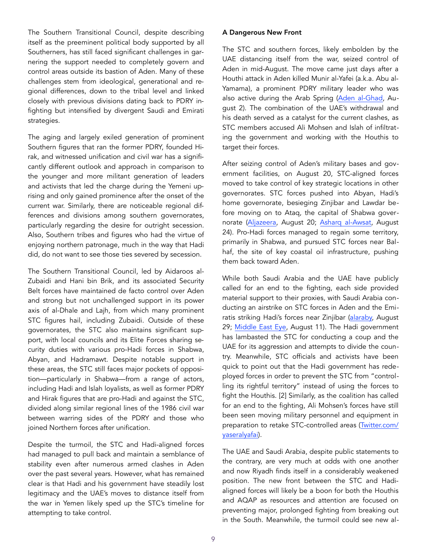The Southern Transitional Council, despite describing itself as the preeminent political body supported by all Southerners, has still faced significant challenges in garnering the support needed to completely govern and control areas outside its bastion of Aden. Many of these challenges stem from ideological, generational and regional differences, down to the tribal level and linked closely with previous divisions dating back to PDRY infighting but intensified by divergent Saudi and Emirati strategies.

The aging and largely exiled generation of prominent Southern figures that ran the former PDRY, founded Hirak, and witnessed unification and civil war has a significantly different outlook and approach in comparison to the younger and more militant generation of leaders and activists that led the charge during the Yemeni uprising and only gained prominence after the onset of the current war. Similarly, there are noticeable regional differences and divisions among southern governorates, particularly regarding the desire for outright secession. Also, Southern tribes and figures who had the virtue of enjoying northern patronage, much in the way that Hadi did, do not want to see those ties severed by secession.

The Southern Transitional Council, led by Aidaroos al-Zubaidi and Hani bin Brik, and its associated Security Belt forces have maintained de facto control over Aden and strong but not unchallenged support in its power axis of al-Dhale and Lajh, from which many prominent STC figures hail, including Zubaidi. Outside of these governorates, the STC also maintains significant support, with local councils and its Elite Forces sharing security duties with various pro-Hadi forces in Shabwa, Abyan, and Hadramawt. Despite notable support in these areas, the STC still faces major pockets of opposition—particularly in Shabwa—from a range of actors, including Hadi and Islah loyalists, as well as former PDRY and Hirak figures that are pro-Hadi and against the STC, divided along similar regional lines of the 1986 civil war between warring sides of the PDRY and those who joined Northern forces after unification.

Despite the turmoil, the STC and Hadi-aligned forces had managed to pull back and maintain a semblance of stability even after numerous armed clashes in Aden over the past several years. However, what has remained clear is that Hadi and his government have steadily lost legitimacy and the UAE's moves to distance itself from the war in Yemen likely sped up the STC's timeline for attempting to take control.

## A Dangerous New Front

The STC and southern forces, likely embolden by the UAE distancing itself from the war, seized control of Aden in mid-August. The move came just days after a Houthi attack in Aden killed Munir al-Yafei (a.k.a. Abu al-Yamama), a prominent PDRY military leader who was also active during the Arab Spring [\(Aden al-Ghad,](http://adengd.net/news/401774/%22%20%5Cl%20%22ixzz5w72KERlY) August 2). The combination of the UAE's withdrawal and his death served as a catalyst for the current clashes, as STC members accused Ali Mohsen and Islah of infiltrating the government and working with the Houthis to target their forces.

After seizing control of Aden's military bases and government facilities, on August 20, STC-aligned forces moved to take control of key strategic locations in other governorates. STC forces pushed into Abyan, Hadi's home governorate, besieging Zinjibar and Lawdar before moving on to Ataq, the capital of Shabwa governorate ([Aljazeera](https://www.aljazeera.com/news/2019/08/fresh-clashes-separatists-governme), August 20; [Asharq al-Awsat,](https://aawsat.com/english/home/article/1870126/yemen-govt-calls-stc-join-its-forces-after-defeating-it-ataq) August 24). Pro-Hadi forces managed to regain some territory, primarily in Shabwa, and pursued STC forces near Balhaf, the site of key coastal oil infrastructure, pushing them back toward Aden.

While both Saudi Arabia and the UAE have publicly called for an end to the fighting, each side provided material support to their proxies, with Saudi Arabia conducting an airstrike on STC forces in Aden and the Emiratis striking Hadi's forces near Zinjibar ([alaraby,](https://www.alaraby.co.uk/english/news/2019/8/29/yemens-hadi-accuses-uae-of-aggression-with-aden-airs) August 29; [Middle East Eye,](https://www.middleeasteye.net/news/saudi-led-coalition-launches-air-strikes-again-uae-backed-separatist-forces-aden) August 11). The Hadi government has lambasted the STC for conducting a coup and the UAE for its aggression and attempts to divide the country. Meanwhile, STC officials and activists have been quick to point out that the Hadi government has redeployed forces in order to prevent the STC from "controlling its rightful territory" instead of using the forces to fight the Houthis. [2] Similarly, as the coalition has called for an end to the fighting, Ali Mohsen's forces have still been seen moving military personnel and equipment in preparation to retake STC-controlled areas (Twitter.com/ yaseralyafai).

The UAE and Saudi Arabia, despite public statements to the contrary, are very much at odds with one another and now Riyadh finds itself in a considerably weakened position. The new front between the STC and Hadialigned forces will likely be a boon for both the Houthis and AQAP as resources and attention are focused on preventing major, prolonged fighting from breaking out in the South. Meanwhile, the turmoil could see new al